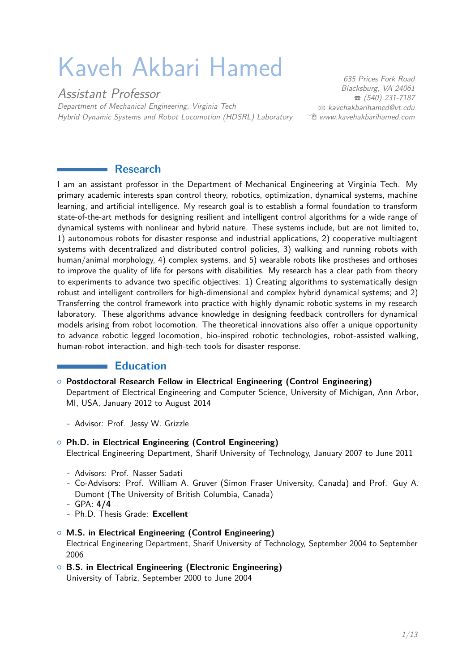# Kaveh Akbari Hamed

Assistant Professor Department of Mechanical Engineering, Virginia Tech Hybrid Dynamic Systems and Robot Locomotion (HDSRL) Laboratory

635 Prices Fork Road Blacksburg, VA 24061  $\bullet$  (540) 231-7187  $\boxtimes$  [kavehakbarihamed@vt.edu](mailto:kavehakbarihamed@vt.edu) Í [www.kavehakbarihamed.com](http://www.kavehakbarihamed.com)

### **Research**

I am an assistant professor in the Department of Mechanical Engineering at Virginia Tech. My primary academic interests span control theory, robotics, optimization, dynamical systems, machine learning, and artificial intelligence. My research goal is to establish a formal foundation to transform state-of-the-art methods for designing resilient and intelligent control algorithms for a wide range of dynamical systems with nonlinear and hybrid nature. These systems include, but are not limited to, 1) autonomous robots for disaster response and industrial applications, 2) cooperative multiagent systems with decentralized and distributed control policies, 3) walking and running robots with human/animal morphology, 4) complex systems, and 5) wearable robots like prostheses and orthoses to improve the quality of life for persons with disabilities. My research has a clear path from theory to experiments to advance two specific objectives: 1) Creating algorithms to systematically design robust and intelligent controllers for high-dimensional and complex hybrid dynamical systems; and 2) Transferring the control framework into practice with highly dynamic robotic systems in my research laboratory. These algorithms advance knowledge in designing feedback controllers for dynamical models arising from robot locomotion. The theoretical innovations also offer a unique opportunity to advance robotic legged locomotion, bio-inspired robotic technologies, robot-assisted walking, human-robot interaction, and high-tech tools for disaster response.

#### **Education**

- { **Postdoctoral Research Fellow in Electrical Engineering (Control Engineering)** Department of Electrical Engineering and Computer Science, University of Michigan, Ann Arbor, MI, USA, January 2012 to August 2014
	- **-** Advisor: Prof. Jessy W. Grizzle
- { **Ph.D. in Electrical Engineering (Control Engineering)** Electrical Engineering Department, Sharif University of Technology, January 2007 to June 2011
	- **-** Advisors: Prof. Nasser Sadati
	- **-** Co-Advisors: Prof. William A. Gruver (Simon Fraser University, Canada) and Prof. Guy A. Dumont (The University of British Columbia, Canada)
	- **-** GPA: **4/4**
	- **-** Ph.D. Thesis Grade: **Excellent**
- { **M.S. in Electrical Engineering (Control Engineering)** Electrical Engineering Department, Sharif University of Technology, September 2004 to September 2006
- { **B.S. in Electrical Engineering (Electronic Engineering)** University of Tabriz, September 2000 to June 2004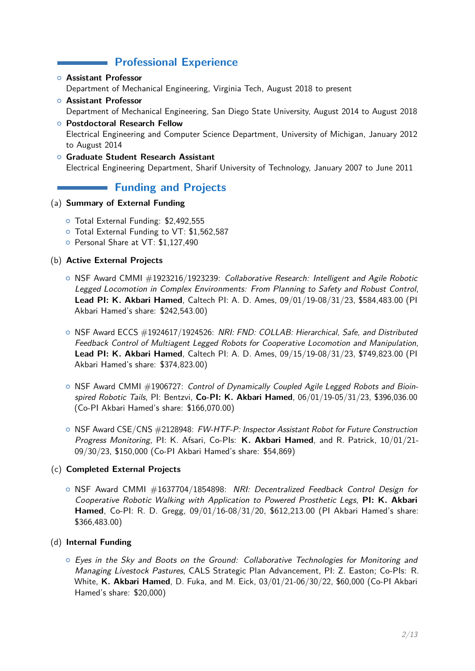# **Professional Experience**

- { **Assistant Professor** Department of Mechanical Engineering, Virginia Tech, August 2018 to present
- { **Assistant Professor** Department of Mechanical Engineering, San Diego State University, August 2014 to August 2018 { **Postdoctoral Research Fellow**
- Electrical Engineering and Computer Science Department, University of Michigan, January 2012 to August 2014
- { **Graduate Student Research Assistant** Electrical Engineering Department, Sharif University of Technology, January 2007 to June 2011

# **Funding and Projects**

#### (a) **Summary of External Funding**

- { Total External Funding: \$2,492,555
- { Total External Funding to VT: \$1,562,587
- { Personal Share at VT: \$1,127,490

### (b) **Active External Projects**

- $\circ$  NSF Award CMMI  $\#1923216/1923239$ : Collaborative Research: Intelligent and Agile Robotic Legged Locomotion in Complex Environments: From Planning to Safety and Robust Control, **Lead PI: K. Akbari Hamed**, Caltech PI: A. D. Ames, 09/01/19-08/31/23, \$584,483.00 (PI Akbari Hamed's share: \$242,543.00)
- $\circ$  NSF Award ECCS  $\#1924617/1924526$ : NRI: FND: COLLAB: Hierarchical, Safe, and Distributed Feedback Control of Multiagent Legged Robots for Cooperative Locomotion and Manipulation, **Lead PI: K. Akbari Hamed**, Caltech PI: A. D. Ames, 09/15/19-08/31/23, \$749,823.00 (PI Akbari Hamed's share: \$374,823.00)
- $\circ$  NSF Award CMMI  $\#1906727$ : Control of Dynamically Coupled Agile Legged Robots and Bioinspired Robotic Tails, PI: Bentzvi, **Co-PI: K. Akbari Hamed**, 06/01/19-05/31/23, \$396,036.00 (Co-PI Akbari Hamed's share: \$166,070.00)
- NSF Award CSE/CNS #2128948: FW-HTF-P: Inspector Assistant Robot for Future Construction Progress Monitoring, PI: K. Afsari, Co-PIs: **K. Akbari Hamed**, and R. Patrick, 10/01/21- 09/30/23, \$150,000 (Co-PI Akbari Hamed's share: \$54,869)

### (c) **Completed External Projects**

 $\circ$  NSF Award CMMI  $\#1637704/1854898$ : NRI: Decentralized Feedback Control Design for Cooperative Robotic Walking with Application to Powered Prosthetic Legs, **PI: K. Akbari Hamed**, Co-PI: R. D. Gregg, 09/01/16-08/31/20, \$612,213.00 (PI Akbari Hamed's share: \$366,483.00)

### (d) **Internal Funding**

 $\circ$  Eyes in the Sky and Boots on the Ground: Collaborative Technologies for Monitoring and Managing Livestock Pastures, CALS Strategic Plan Advancement, PI: Z. Easton; Co-PIs: R. White, **K. Akbari Hamed**, D. Fuka, and M. Eick, 03/01/21-06/30/22, \$60,000 (Co-PI Akbari Hamed's share: \$20,000)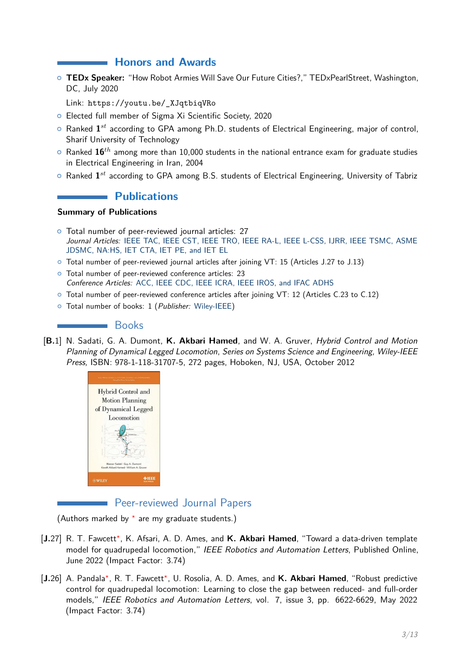## **Honors and Awards**

{ **[TEDx Speaker:](https://www.ted.com/talks/kaveh_akbari_hamed_how_robot_armies_will_save_our_future_cities)** "How Robot Armies Will Save Our Future Cities?," TEDxPearlStreet, Washington, DC, July 2020

Link: [https://youtu.be/\\_XJqtbiqVRo](https://youtu.be/_XJqtbiqVRo)

- { Elected full member of Sigma Xi Scientific Society, 2020
- { Ranked **1** *st* according to GPA among Ph.D. students of Electrical Engineering, major of control, Sharif University of Technology
- $\circ$  Ranked  $16^{th}$  among more than 10,000 students in the national entrance exam for graduate studies in Electrical Engineering in Iran, 2004
- $\circ$  Ranked  $\mathbf{1}^{st}$  according to GPA among B.S. students of Electrical Engineering, University of Tabriz

## **Publications**

#### **Summary of Publications**

- { Total number of peer-reviewed journal articles: 27 Journal Articles: IEEE TAC, IEEE CST, IEEE TRO, IEEE RA-L, IEEE L-CSS, IJRR, IEEE TSMC, ASME JDSMC, NA:HS, IET CTA, IET PE, and IET EL
- { Total number of peer-reviewed journal articles after joining VT: 15 (Articles J.27 to J.13)
- { Total number of peer-reviewed conference articles: 23 Conference Articles: ACC, IEEE CDC, IEEE ICRA, IEEE IROS, and IFAC ADHS
- { Total number of peer-reviewed conference articles after joining VT: 12 (Articles C.23 to C.12)
- { Total number of books: 1 (Publisher: Wiley-IEEE)

#### **Books**

[**B.**1] N. Sadati, G. A. Dumont, **K. Akbari Hamed**, and W. A. Gruver, [Hybrid Control and Motion](https://onlinelibrary.wiley.com/doi/book/10.1002/9781118393741) [Planning of Dynamical Legged Locomotion](https://onlinelibrary.wiley.com/doi/book/10.1002/9781118393741), Series on Systems Science and Engineering, Wiley-IEEE Press, ISBN: 978-1-118-31707-5, 272 pages, Hoboken, NJ, USA, October 2012



## Peer-reviewed Journal Papers

(Authors marked by *<sup>⋆</sup>* are my graduate students.)

- [J.27] R. T. Fawcett<sup>\*</sup>, K. Afsari, A. D. Ames, and K. Akbari Hamed, "Toward a data-driven template model for quadrupedal locomotion," IEEE Robotics and Automation Letters, Published Online, June 2022 (Impact Factor: 3.74)
- [**J.**26] A. Pandala*<sup>⋆</sup>* , R. T. Fawcett*<sup>⋆</sup>* , U. Rosolia, A. D. Ames, and **K. Akbari Hamed**, ["Robust predictive](https://ieeexplore.ieee.org/document/9779465) [control for quadrupedal locomotion: Learning to close the gap between reduced- and full-order](https://ieeexplore.ieee.org/document/9779465) [models,"](https://ieeexplore.ieee.org/document/9779465) IEEE Robotics and Automation Letters, vol. 7, issue 3, pp. 6622-6629, May 2022 (Impact Factor: 3.74)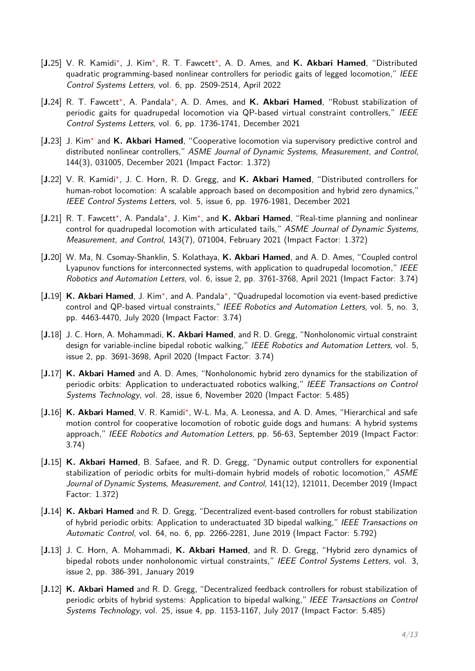- [J.25] V. R. Kamidi\*, J. Kim\*, R. T. Fawcett\*, A. D. Ames, and K. Akbari Hamed, ["Distributed](https://ieeexplore.ieee.org/document/9758062) [quadratic programming-based nonlinear controllers for periodic gaits of legged locomotion,"](https://ieeexplore.ieee.org/document/9758062) IEEE Control Systems Letters, vol. 6, pp. 2509-2514, April 2022
- [J.24] R. T. Fawcett<sup>\*</sup>, A. Pandala<sup>\*</sup>, A. D. Ames, and K. Akbari Hamed, ["Robust stabilization of](https://ieeexplore.ieee.org/document/9638982) [periodic gaits for quadrupedal locomotion via QP-based virtual constraint controllers,"](https://ieeexplore.ieee.org/document/9638982) IEEE Control Systems Letters, vol. 6, pp. 1736-1741, December 2021
- [J.23] J. Kim<sup>\*</sup> and K. Akbari Hamed, ["Cooperative locomotion via supervisory predictive control and](https://asmedigitalcollection.asme.org/dynamicsystems/article-abstract/144/3/031005/1122992/Cooperative-Locomotion-Via-Supervisory-Predictive?redirectedFrom=fulltext) [distributed nonlinear controllers,"](https://asmedigitalcollection.asme.org/dynamicsystems/article-abstract/144/3/031005/1122992/Cooperative-Locomotion-Via-Supervisory-Predictive?redirectedFrom=fulltext) ASME Journal of Dynamic Systems, Measurement, and Control, 144(3), 031005, December 2021 (Impact Factor: 1.372)
- [J.22] V. R. Kamidi\*, J. C. Horn, R. D. Gregg, and K. Akbari Hamed, ["Distributed controllers for](https://ieeexplore.ieee.org/document/9483320) [human-robot locomotion: A scalable approach based on decomposition and hybrid zero dynamics,"](https://ieeexplore.ieee.org/document/9483320) IEEE Control Systems Letters, vol. 5, issue 6, pp. 1976-1981, December 2021
- [J.21] R. T. Fawcett<sup>\*</sup>, A. Pandala<sup>\*</sup>, J. Kim<sup>\*</sup>, and K. Akbari Hamed, ["Real-time planning and nonlinear](https://asmedigitalcollection.asme.org/dynamicsystems/article/143/7/071004/1094100/Real-Time-Planning-and-Nonlinear-Control-for) [control for quadrupedal locomotion with articulated tails,"](https://asmedigitalcollection.asme.org/dynamicsystems/article/143/7/071004/1094100/Real-Time-Planning-and-Nonlinear-Control-for) ASME Journal of Dynamic Systems, Measurement, and Control, 143(7), 071004, February 2021 (Impact Factor: 1.372)
- [**J.**20] W. Ma, N. Csomay-Shanklin, S. Kolathaya, **K. Akbari Hamed**, and A. D. Ames, ["Coupled control](https://ieeexplore.ieee.org/document/9376602) [Lyapunov functions for interconnected systems, with application to quadrupedal locomotion,"](https://ieeexplore.ieee.org/document/9376602) IEEE Robotics and Automation Letters, vol. 6, issue 2, pp. 3761-3768, April 2021 (Impact Factor: 3.74)
- [J.19] K. Akbari Hamed, J. Kim<sup>\*</sup>, and A. Pandala<sup>\*</sup>, ["Quadrupedal locomotion via event-based predictive](https://ieeexplore.ieee.org/document/9113252) [control and QP-based virtual constraints,"](https://ieeexplore.ieee.org/document/9113252) IEEE Robotics and Automation Letters, vol. 5, no. 3, pp. 4463-4470, July 2020 (Impact Factor: 3.74)
- [**J.**18] J. C. Horn, A. Mohammadi, **K. Akbari Hamed**, and R. D. Gregg, ["Nonholonomic virtual constraint](https://ieeexplore.ieee.org/document/9018143) [design for variable-incline bipedal robotic walking,"](https://ieeexplore.ieee.org/document/9018143) IEEE Robotics and Automation Letters, vol. 5, issue 2, pp. 3691-3698, April 2020 (Impact Factor: 3.74)
- [**J.**17] **K. Akbari Hamed** and A. D. Ames, ["Nonholonomic hybrid zero dynamics for the stabilization of](https://ieeexplore.ieee.org/document/8884655) [periodic orbits: Application to underactuated robotics walking,"](https://ieeexplore.ieee.org/document/8884655) IEEE Transactions on Control Systems Technology, vol. 28, issue 6, November 2020 (Impact Factor: 5.485)
- [J.16] K. Akbari Hamed, V. R. Kamidi<sup>\*</sup>, W-L. Ma, A. Leonessa, and A. D. Ames, ["Hierarchical and safe](https://ieeexplore.ieee.org/document/8825563) [motion control for cooperative locomotion of robotic guide dogs and humans: A hybrid systems](https://ieeexplore.ieee.org/document/8825563) [approach,"](https://ieeexplore.ieee.org/document/8825563) IEEE Robotics and Automation Letters, pp. 56-63, September 2019 (Impact Factor: 3.74)
- [**J.**15] **K. Akbari Hamed**, B. Safaee, and R. D. Gregg, ["Dynamic output controllers for exponential](https://asmedigitalcollection.asme.org/dynamicsystems/article-abstract/141/12/121011/958453/Dynamic-Output-Controllers-for-Exponential?redirectedFrom=fulltext) [stabilization of periodic orbits for multi-domain hybrid models of robotic locomotion,"](https://asmedigitalcollection.asme.org/dynamicsystems/article-abstract/141/12/121011/958453/Dynamic-Output-Controllers-for-Exponential?redirectedFrom=fulltext) ASME Journal of Dynamic Systems, Measurement, and Control, 141(12), 121011, December 2019 (Impact Factor: 1.372)
- [**J.**14] **K. Akbari Hamed** and R. D. Gregg, ["Decentralized event-based controllers for robust stabilization](https://ieeexplore.ieee.org/document/8424866) [of hybrid periodic orbits: Application to underactuated 3D bipedal walking,"](https://ieeexplore.ieee.org/document/8424866) IEEE Transactions on Automatic Control, vol. 64, no. 6, pp. 2266-2281, June 2019 (Impact Factor: 5.792)
- [**J.**13] J. C. Horn, A. Mohammadi, **K. Akbari Hamed**, and R. D. Gregg, ["Hybrid zero dynamics of](https://ieeexplore.ieee.org/document/8580368) [bipedal robots under nonholonomic virtual constraints,"](https://ieeexplore.ieee.org/document/8580368) IEEE Control Systems Letters, vol. 3, issue 2, pp. 386-391, January 2019
- [**J.**12] **K. Akbari Hamed** and R. D. Gregg, ["Decentralized feedback controllers for robust stabilization of](https://ieeexplore.ieee.org/document/7547937) [periodic orbits of hybrid systems: Application to bipedal walking,"](https://ieeexplore.ieee.org/document/7547937) IEEE Transactions on Control Systems Technology, vol. 25, issue 4, pp. 1153-1167, July 2017 (Impact Factor: 5.485)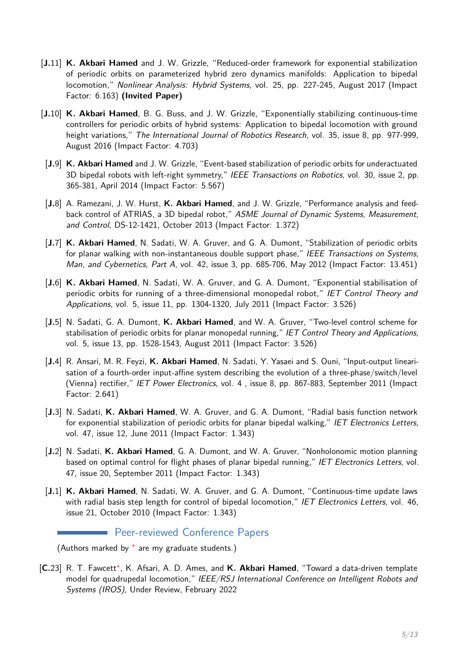- [**J.**11] **K. Akbari Hamed** and J. W. Grizzle, ["Reduced-order framework for exponential stabilization](https://www.sciencedirect.com/science/article/abs/pii/S1751570X16300541) [of periodic orbits on parameterized hybrid zero dynamics manifolds: Application to bipedal](https://www.sciencedirect.com/science/article/abs/pii/S1751570X16300541) [locomotion,"](https://www.sciencedirect.com/science/article/abs/pii/S1751570X16300541) Nonlinear Analysis: Hybrid Systems, vol. 25, pp. 227-245, August 2017 (Impact Factor: 6.163) **(Invited Paper)**
- [**J.**10] **K. Akbari Hamed**, B. G. Buss, and J. W. Grizzle, ["Exponentially stabilizing continuous-time](https://journals.sagepub.com/doi/10.1177/0278364915593400) [controllers for periodic orbits of hybrid systems: Application to bipedal locomotion with ground](https://journals.sagepub.com/doi/10.1177/0278364915593400) [height variations,"](https://journals.sagepub.com/doi/10.1177/0278364915593400) The International Journal of Robotics Research, vol. 35, issue 8, pp. 977-999, August 2016 (Impact Factor: 4.703)
- [**J.**9] **K. Akbari Hamed** and J. W. Grizzle, ["Event-based stabilization of periodic orbits for underactuated](https://ieeexplore.ieee.org/document/6663683) [3D bipedal robots with left-right symmetry,"](https://ieeexplore.ieee.org/document/6663683) IEEE Transactions on Robotics, vol. 30, issue 2, pp. 365-381, April 2014 (Impact Factor: 5.567)
- [**J.**8] A. Ramezani, J. W. Hurst, **K. Akbari Hamed**, and J. W. Grizzle, ["Performance analysis and feed](https://asmedigitalcollection.asme.org/dynamicsystems/article-abstract/136/2/021012/472612/Performance-Analysis-and-Feedback-Control-of?redirectedFrom=fulltext)[back control of ATRIAS, a 3D bipedal robot,"](https://asmedigitalcollection.asme.org/dynamicsystems/article-abstract/136/2/021012/472612/Performance-Analysis-and-Feedback-Control-of?redirectedFrom=fulltext) ASME Journal of Dynamic Systems, Measurement. and Control, DS-12-1421, October 2013 (Impact Factor: 1.372)
- [**J.**7] **K. Akbari Hamed**, N. Sadati, W. A. Gruver, and G. A. Dumont, ["Stabilization of periodic orbits](https://ieeexplore.ieee.org/abstract/document/6062421) [for planar walking with non-instantaneous double support phase,"](https://ieeexplore.ieee.org/abstract/document/6062421) IEEE Transactions on Systems, Man, and Cybernetics, Part A, vol. 42, issue 3, pp. 685-706, May 2012 (Impact Factor: 13.451)
- [**J.**6] **K. Akbari Hamed**, N. Sadati, W. A. Gruver, and G. A. Dumont, ["Exponential stabilisation of](https://digital-library.theiet.org/content/journals/10.1049/iet-cta.2010.0292) [periodic orbits for running of a three-dimensional monopedal robot,"](https://digital-library.theiet.org/content/journals/10.1049/iet-cta.2010.0292) IET Control Theory and Applications, vol. 5, issue 11, pp. 1304-1320, July 2011 (Impact Factor: 3.526)
- [**J.**5] N. Sadati, G. A. Dumont, **K. Akbari Hamed**, and W. A. Gruver, ["Two-level control scheme for](https://digital-library.theiet.org/content/journals/10.1049/iet-cta.2010.0512) [stabilisation of periodic orbits for planar monopedal running,"](https://digital-library.theiet.org/content/journals/10.1049/iet-cta.2010.0512) IET Control Theory and Applications, vol. 5, issue 13, pp. 1528-1543, August 2011 (Impact Factor: 3.526)
- [**J.**4] R. Ansari, M. R. Feyzi, **K. Akbari Hamed**, N. Sadati, Y. Yasaei and S. Ouni, ["Input-output lineari](https://digital-library.theiet.org/content/journals/10.1049/iet-pel.2010.0158)[sation of a fourth-order input-affine system describing the evolution of a three-phase/switch/level](https://digital-library.theiet.org/content/journals/10.1049/iet-pel.2010.0158) [\(Vienna\) rectifier,"](https://digital-library.theiet.org/content/journals/10.1049/iet-pel.2010.0158) IET Power Electronics, vol. 4 , issue 8, pp. 867-883, September 2011 (Impact Factor: 2.641)
- [**J.**3] N. Sadati, **K. Akbari Hamed**, W. A. Gruver, and G. A. Dumont, ["Radial basis function network](https://digital-library.theiet.org/content/journals/10.1049/el.2011.0692) [for exponential stabilization of periodic orbits for planar bipedal walking,"](https://digital-library.theiet.org/content/journals/10.1049/el.2011.0692) IET Electronics Letters, vol. 47, issue 12, June 2011 (Impact Factor: 1.343)
- [**J.**2] N. Sadati, **K. Akbari Hamed**, G. A. Dumont, and W. A. Gruver, ["Nonholonomic motion planning](https://digital-library.theiet.org/content/journals/10.1049/el.2011.1712) [based on optimal control for flight phases of planar bipedal running,"](https://digital-library.theiet.org/content/journals/10.1049/el.2011.1712) IET Electronics Letters, vol. 47, issue 20, September 2011 (Impact Factor: 1.343)
- [**J.**1] **K. Akbari Hamed**, N. Sadati, W. A. Gruver, and G. A. Dumont, ["Continuous-time update laws](https://digital-library.theiet.org/content/journals/10.1049/el.2010.2481) [with radial basis step length for control of bipedal locomotion,"](https://digital-library.theiet.org/content/journals/10.1049/el.2010.2481) IET Electronics Letters, vol. 46, issue 21, October 2010 (Impact Factor: 1.343)

**Peer-reviewed Conference Papers** 

(Authors marked by *<sup>⋆</sup>* are my graduate students.)

[C.23] R. T. Fawcett\*, K. Afsari, A. D. Ames, and K. Akbari Hamed, "Toward a data-driven template model for quadrupedal locomotion," IEEE/RSJ International Conference on Intelligent Robots and Systems (IROS), Under Review, February 2022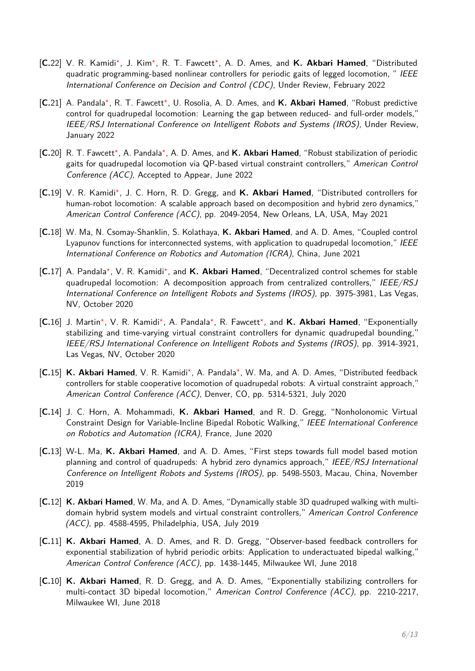- [**C.**22] V. R. Kamidi*<sup>⋆</sup>* , J. Kim*<sup>⋆</sup>* , R. T. Fawcett*<sup>⋆</sup>* , A. D. Ames, and **K. Akbari Hamed**, "Distributed quadratic programming-based nonlinear controllers for periodic gaits of legged locomotion, " IEEE International Conference on Decision and Control (CDC), Under Review, February 2022
- [**C.**21] A. Pandala*<sup>⋆</sup>* , R. T. Fawcett*<sup>⋆</sup>* , U. Rosolia, A. D. Ames, and **K. Akbari Hamed**, "Robust predictive control for quadrupedal locomotion: Learning the gap between reduced- and full-order models," IEEE/RSJ International Conference on Intelligent Robots and Systems (IROS), Under Review, January 2022
- [**C.**20] R. T. Fawcett*<sup>⋆</sup>* , A. Pandala*<sup>⋆</sup>* , A. D. Ames, and **K. Akbari Hamed**, "Robust stabilization of periodic gaits for quadrupedal locomotion via QP-based virtual constraint controllers," American Control Conference (ACC), Accepted to Appear, June 2022
- [C.19] V. R. Kamidi<sup>\*</sup>, J. C. Horn, R. D. Gregg, and K. Akbari Hamed, "Distributed controllers for human-robot locomotion: A scalable approach based on decomposition and hybrid zero dynamics," American Control Conference (ACC), pp. 2049-2054, New Orleans, LA, USA, May 2021
- [**C.**18] W. Ma, N. Csomay-Shanklin, S. Kolathaya, **K. Akbari Hamed**, and A. D. Ames, "Coupled control Lyapunov functions for interconnected systems, with application to quadrupedal locomotion," IEEE International Conference on Robotics and Automation (ICRA), China, June 2021
- [C.17] A. Pandala<sup>\*</sup>, V. R. Kamidi<sup>\*</sup>, and K. Akbari Hamed, "Decentralized control schemes for stable quadrupedal locomotion: A decomposition approach from centralized controllers," IEEE/RSJ International Conference on Intelligent Robots and Systems (IROS), pp. 3975-3981, Las Vegas, NV, October 2020
- [**C.**16] J. Martin*<sup>⋆</sup>* , V. R. Kamidi*<sup>⋆</sup>* , A. Pandala*<sup>⋆</sup>* , R. Fawcett*<sup>⋆</sup>* , and **K. Akbari Hamed**, "Exponentially stabilizing and time-varying virtual constraint controllers for dynamic quadrupedal bounding," IEEE/RSJ International Conference on Intelligent Robots and Systems (IROS), pp. 3914-3921, Las Vegas, NV, October 2020
- [C.15] K. Akbari Hamed, V. R. Kamidi<sup>\*</sup>, A. Pandala<sup>\*</sup>, W. Ma, and A. D. Ames, "Distributed feedback controllers for stable cooperative locomotion of quadrupedal robots: A virtual constraint approach," American Control Conference (ACC), Denver, CO, pp. 5314-5321, July 2020
- [**C.**14] J. C. Horn, A. Mohammadi, **K. Akbari Hamed**, and R. D. Gregg, "Nonholonomic Virtual Constraint Design for Variable-Incline Bipedal Robotic Walking," IEEE International Conference on Robotics and Automation (ICRA), France, June 2020
- [**C.**13] W-L. Ma, **K. Akbari Hamed**, and A. D. Ames, "First steps towards full model based motion planning and control of quadrupeds: A hybrid zero dynamics approach," IEEE/RSJ International Conference on Intelligent Robots and Systems (IROS), pp. 5498-5503, Macau, China, November 2019
- [**C.**12] **K. Akbari Hamed**, W. Ma, and A. D. Ames, "Dynamically stable 3D quadruped walking with multidomain hybrid system models and virtual constraint controllers," American Control Conference (ACC), pp. 4588-4595, Philadelphia, USA, July 2019
- [**C.**11] **K. Akbari Hamed**, A. D. Ames, and R. D. Gregg, "Observer-based feedback controllers for exponential stabilization of hybrid periodic orbits: Application to underactuated bipedal walking," American Control Conference (ACC), pp. 1438-1445, Milwaukee WI, June 2018
- [**C.**10] **K. Akbari Hamed**, R. D. Gregg, and A. D. Ames, "Exponentially stabilizing controllers for multi-contact 3D bipedal locomotion," American Control Conference (ACC), pp. 2210-2217, Milwaukee WI, June 2018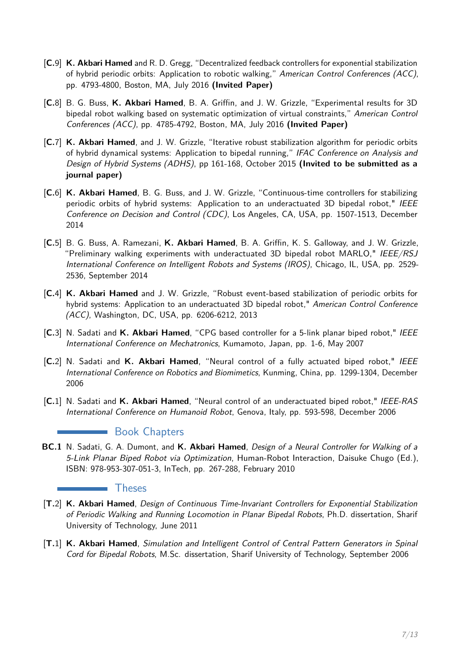- [**C.**9] **K. Akbari Hamed** and R. D. Gregg, "Decentralized feedback controllers for exponential stabilization of hybrid periodic orbits: Application to robotic walking," American Control Conferences (ACC), pp. 4793-4800, Boston, MA, July 2016 **(Invited Paper)**
- [**C.**8] B. G. Buss, **K. Akbari Hamed**, B. A. Griffin, and J. W. Grizzle, "Experimental results for 3D bipedal robot walking based on systematic optimization of virtual constraints," American Control Conferences (ACC), pp. 4785-4792, Boston, MA, July 2016 **(Invited Paper)**
- [**C.**7] **K. Akbari Hamed**, and J. W. Grizzle, "Iterative robust stabilization algorithm for periodic orbits of hybrid dynamical systems: Application to bipedal running," IFAC Conference on Analysis and Design of Hybrid Systems (ADHS), pp 161-168, October 2015 **(Invited to be submitted as a journal paper)**
- [**C.**6] **K. Akbari Hamed**, B. G. Buss, and J. W. Grizzle, "Continuous-time controllers for stabilizing periodic orbits of hybrid systems: Application to an underactuated 3D bipedal robot," IEEE Conference on Decision and Control (CDC), Los Angeles, CA, USA, pp. 1507-1513, December 2014
- [**C.**5] B. G. Buss, A. Ramezani, **K. Akbari Hamed**, B. A. Griffin, K. S. Galloway, and J. W. Grizzle, "Preliminary walking experiments with underactuated 3D bipedal robot MARLO," IEEE/RSJ International Conference on Intelligent Robots and Systems (IROS), Chicago, IL, USA, pp. 2529- 2536, September 2014
- [**C.**4] **K. Akbari Hamed** and J. W. Grizzle, "Robust event-based stabilization of periodic orbits for hybrid systems: Application to an underactuated 3D bipedal robot," American Control Conference (ACC), Washington, DC, USA, pp. 6206-6212, 2013
- [**C.**3] N. Sadati and **K. Akbari Hamed**, "CPG based controller for a 5-link planar biped robot," IEEE International Conference on Mechatronics, Kumamoto, Japan, pp. 1-6, May 2007
- [**C.**2] N. Sadati and **K. Akbari Hamed**, "Neural control of a fully actuated biped robot," IEEE International Conference on Robotics and Biomimetics, Kunming, China, pp. 1299-1304, December 2006
- [**C.**1] N. Sadati and **K. Akbari Hamed**, "Neural control of an underactuated biped robot," IEEE-RAS International Conference on Humanoid Robot, Genova, Italy, pp. 593-598, December 2006

### **Book Chapters**

**BC.1** N. Sadati, G. A. Dumont, and **K. Akbari Hamed**, Design of a Neural Controller for Walking of a 5-Link Planar Biped Robot via Optimization, Human-Robot Interaction, Daisuke Chugo (Ed.), ISBN: 978-953-307-051-3, InTech, pp. 267-288, February 2010

#### **Theses**

- [**T.**2] **K. Akbari Hamed**, Design of Continuous Time-Invariant Controllers for Exponential Stabilization of Periodic Walking and Running Locomotion in Planar Bipedal Robots, Ph.D. dissertation, Sharif University of Technology, June 2011
- [**T.**1] **K. Akbari Hamed**, Simulation and Intelligent Control of Central Pattern Generators in Spinal Cord for Bipedal Robots, M.Sc. dissertation, Sharif University of Technology, September 2006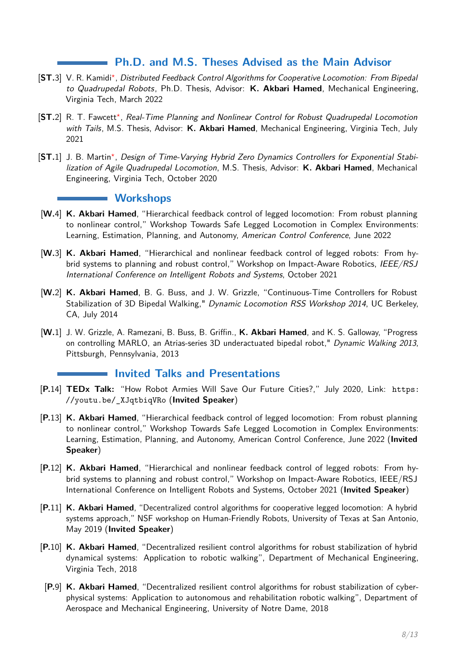## **Ph.D. and M.S. Theses Advised as the Main Advisor**

- [ST.3] V. R. Kamidi\*, [Distributed Feedback Control Algorithms for Cooperative Locomotion: From Bipedal](https://vtechworks.lib.vt.edu/handle/10919/109443) [to Quadrupedal Robots](https://vtechworks.lib.vt.edu/handle/10919/109443), Ph.D. Thesis, Advisor: **K. Akbari Hamed**, Mechanical Engineering, Virginia Tech, March 2022
- [ST.2] R. T. Fawcett<sup>\*</sup>, [Real-Time Planning and Nonlinear Control for Robust Quadrupedal Locomotion](https://vtechworks.lib.vt.edu/handle/10919/104201) [with Tails](https://vtechworks.lib.vt.edu/handle/10919/104201), M.S. Thesis, Advisor: **K. Akbari Hamed**, Mechanical Engineering, Virginia Tech, July 2021
- [ST.1] J. B. Martin<sup>\*</sup>, [Design of Time-Varying Hybrid Zero Dynamics Controllers for Exponential Stabi](https://vtechworks.lib.vt.edu/handle/10919/100689)[lization of Agile Quadrupedal Locomotion](https://vtechworks.lib.vt.edu/handle/10919/100689), M.S. Thesis, Advisor: **K. Akbari Hamed**, Mechanical Engineering, Virginia Tech, October 2020

#### **Workshops**

- [**W.**4] **K. Akbari Hamed**, ["Hierarchical feedback control of legged locomotion: From robust planning](https://safelocomotionacc2022.wordpress.com/) [to nonlinear control,"](https://safelocomotionacc2022.wordpress.com/) Workshop Towards Safe Legged Locomotion in Complex Environments: Learning, Estimation, Planning, and Autonomy, American Control Conference, June 2022
- [**W.**3] **K. Akbari Hamed**, ["Hierarchical and nonlinear feedback control of legged robots: From hy](https://impact-aware-robotics.gitlab.io/IROS2021workshop/page/videos/)[brid systems to planning and robust control,"](https://impact-aware-robotics.gitlab.io/IROS2021workshop/page/videos/) Workshop on Impact-Aware Robotics, IEEE/RSJ International Conference on Intelligent Robots and Systems, October 2021
- [**W.**2] **K. Akbari Hamed**, B. G. Buss, and J. W. Grizzle, "Continuous-Time Controllers for Robust Stabilization of 3D Bipedal Walking," Dynamic Locomotion RSS Workshop 2014, UC Berkeley, CA, July 2014
- [**W.**1] J. W. Grizzle, A. Ramezani, B. Buss, B. Griffin., **K. Akbari Hamed**, and K. S. Galloway, "Progress on controlling MARLO, an Atrias-series 3D underactuated bipedal robot," Dynamic Walking 2013, Pittsburgh, Pennsylvania, 2013

### **Invited Talks and Presentations**

- [**P.**14] **[TEDx Talk:](https://youtu.be/_XJqtbiqVRo)** "How Robot Armies Will Save Our Future Cities?," July 2020, Link: [https:](https://youtu.be/_XJqtbiqVRo) [//youtu.be/\\_XJqtbiqVRo](https://youtu.be/_XJqtbiqVRo) (**Invited Speaker**)
- [**P.**13] **K. Akbari Hamed**, ["Hierarchical feedback control of legged locomotion: From robust planning](https://safelocomotionacc2022.wordpress.com/) [to nonlinear control,"](https://safelocomotionacc2022.wordpress.com/) Workshop Towards Safe Legged Locomotion in Complex Environments: Learning, Estimation, Planning, and Autonomy, American Control Conference, June 2022 (**Invited Speaker**)
- [**P.**12] **K. Akbari Hamed**, ["Hierarchical and nonlinear feedback control of legged robots: From hy](https://impact-aware-robotics.gitlab.io/IROS2021workshop/page/videos/)[brid systems to planning and robust control,"](https://impact-aware-robotics.gitlab.io/IROS2021workshop/page/videos/) Workshop on Impact-Aware Robotics, IEEE/RSJ International Conference on Intelligent Robots and Systems, October 2021 (**Invited Speaker**)
- [**P.**11] **K. Akbari Hamed**, "Decentralized control algorithms for cooperative legged locomotion: A hybrid systems approach," NSF workshop on Human-Friendly Robots, University of Texas at San Antonio, May 2019 (**Invited Speaker**)
- [**P.**10] **K. Akbari Hamed**, "Decentralized resilient control algorithms for robust stabilization of hybrid dynamical systems: Application to robotic walking", Department of Mechanical Engineering, Virginia Tech, 2018
- [**P.**9] **K. Akbari Hamed**, "Decentralized resilient control algorithms for robust stabilization of cyberphysical systems: Application to autonomous and rehabilitation robotic walking", Department of Aerospace and Mechanical Engineering, University of Notre Dame, 2018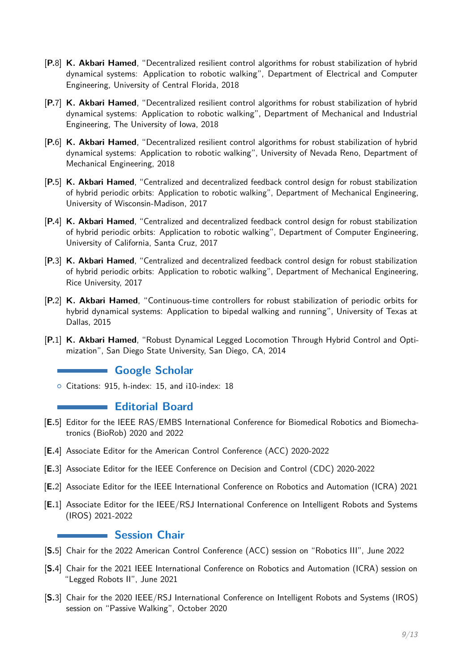- [**P.**8] **K. Akbari Hamed**, "Decentralized resilient control algorithms for robust stabilization of hybrid dynamical systems: Application to robotic walking", Department of Electrical and Computer Engineering, University of Central Florida, 2018
- [**P.**7] **K. Akbari Hamed**, "Decentralized resilient control algorithms for robust stabilization of hybrid dynamical systems: Application to robotic walking", Department of Mechanical and Industrial Engineering, The University of Iowa, 2018
- [**P.**6] **K. Akbari Hamed**, "Decentralized resilient control algorithms for robust stabilization of hybrid dynamical systems: Application to robotic walking", University of Nevada Reno, Department of Mechanical Engineering, 2018
- [**P.**5] **K. Akbari Hamed**, "Centralized and decentralized feedback control design for robust stabilization of hybrid periodic orbits: Application to robotic walking", Department of Mechanical Engineering, University of Wisconsin-Madison, 2017
- [**P.**4] **K. Akbari Hamed**, "Centralized and decentralized feedback control design for robust stabilization of hybrid periodic orbits: Application to robotic walking", Department of Computer Engineering, University of California, Santa Cruz, 2017
- [**P.**3] **K. Akbari Hamed**, "Centralized and decentralized feedback control design for robust stabilization of hybrid periodic orbits: Application to robotic walking", Department of Mechanical Engineering, Rice University, 2017
- [**P.**2] **K. Akbari Hamed**, "Continuous-time controllers for robust stabilization of periodic orbits for hybrid dynamical systems: Application to bipedal walking and running", University of Texas at Dallas, 2015
- [**P.**1] **K. Akbari Hamed**, "Robust Dynamical Legged Locomotion Through Hybrid Control and Optimization", San Diego State University, San Diego, CA, 2014

## **Google Scholar**

{ Citations: 915, h-index: 15, and i10-index: 18

### **Editorial Board**

- [**E.**5] Editor for the IEEE RAS/EMBS International Conference for Biomedical Robotics and Biomechatronics (BioRob) 2020 and 2022
- [**E.**4] Associate Editor for the American Control Conference (ACC) 2020-2022
- [**E.**3] Associate Editor for the IEEE Conference on Decision and Control (CDC) 2020-2022
- [**E.**2] Associate Editor for the IEEE International Conference on Robotics and Automation (ICRA) 2021
- [**E.**1] Associate Editor for the IEEE/RSJ International Conference on Intelligent Robots and Systems (IROS) 2021-2022

#### **Session Chair**

- [**S.**5] Chair for the 2022 American Control Conference (ACC) session on "Robotics III", June 2022
- [**S.**4] Chair for the 2021 IEEE International Conference on Robotics and Automation (ICRA) session on "Legged Robots II", June 2021
- [**S.**3] Chair for the 2020 IEEE/RSJ International Conference on Intelligent Robots and Systems (IROS) session on "Passive Walking", October 2020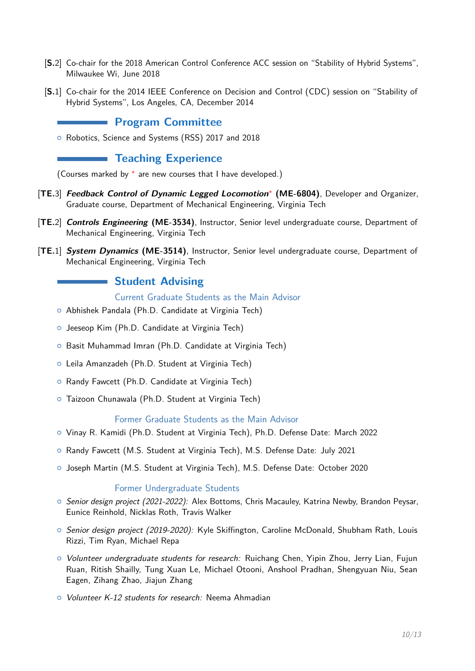- [**S.**2] Co-chair for the 2018 American Control Conference ACC session on "Stability of Hybrid Systems", Milwaukee Wi, June 2018
- [**S.**1] Co-chair for the 2014 IEEE Conference on Decision and Control (CDC) session on "Stability of Hybrid Systems", Los Angeles, CA, December 2014

## **Program Committee**

{ Robotics, Science and Systems (RSS) 2017 and 2018

# **Teaching Experience**

(Courses marked by *<sup>⋆</sup>* are new courses that I have developed.)

- [**TE.**3] **Feedback Control of Dynamic Legged Locomotion***<sup>⋆</sup>* **(ME-6804)**, Developer and Organizer, Graduate course, Department of Mechanical Engineering, Virginia Tech
- [**TE.**2] **Controls Engineering (ME-3534)**, Instructor, Senior level undergraduate course, Department of Mechanical Engineering, Virginia Tech
- [**TE.**1] **System Dynamics (ME-3514)**, Instructor, Senior level undergraduate course, Department of Mechanical Engineering, Virginia Tech

## **Student Advising**

Current Graduate Students as the Main Advisor

- { Abhishek Pandala (Ph.D. Candidate at Virginia Tech)
- { Jeeseop Kim (Ph.D. Candidate at Virginia Tech)
- Basit Muhammad Imran (Ph.D. Candidate at Virginia Tech)
- { Leila Amanzadeh (Ph.D. Student at Virginia Tech)
- <sup>o</sup> Randy Fawcett (Ph.D. Candidate at Virginia Tech)
- **o** Taizoon Chunawala (Ph.D. Student at Virginia Tech)

#### Former Graduate Students as the Main Advisor

- { Vinay R. Kamidi (Ph.D. Student at Virginia Tech), Ph.D. Defense Date: March 2022
- { Randy Fawcett (M.S. Student at Virginia Tech), M.S. Defense Date: July 2021
- { Joseph Martin (M.S. Student at Virginia Tech), M.S. Defense Date: October 2020

#### Former Undergraduate Students

- $\circ$  Senior design project (2021-2022): Alex Bottoms, Chris Macauley, Katrina Newby, Brandon Peysar, Eunice Reinhold, Nicklas Roth, Travis Walker
- $\circ$  Senior design project (2019-2020): Kyle Skiffington, Caroline McDonald, Shubham Rath, Louis Rizzi, Tim Ryan, Michael Repa
- $\circ$  Volunteer undergraduate students for research: Ruichang Chen, Yipin Zhou, Jerry Lian, Fujun Ruan, Ritish Shailly, Tung Xuan Le, Michael Otooni, Anshool Pradhan, Shengyuan Niu, Sean Eagen, Zihang Zhao, Jiajun Zhang
- Volunteer K-12 students for research: Neema Ahmadian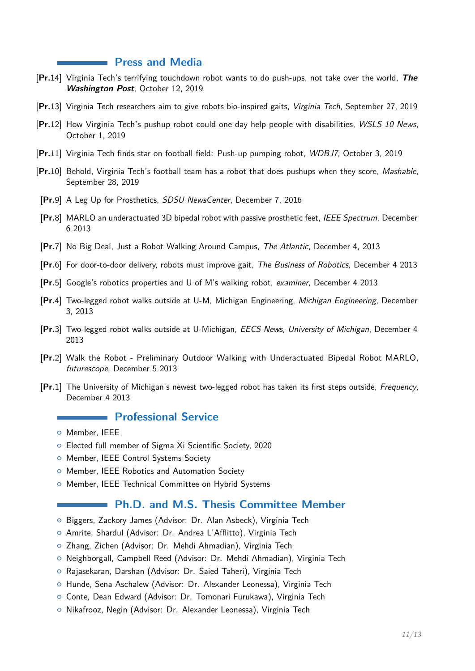#### **Press and Media**

- [**Pr.**14] [Virginia Tech's terrifying touchdown robot wants to do push-ups, not take over the world,](https://www.washingtonpost.com/sports/2019/10/12/virginia-techs-terrifying-touchdown-robot-wants-do-push-ups-not-take-over-world/) **The Washington Post**, October 12, 2019
- [**Pr.**13] [Virginia Tech researchers aim to give robots bio-inspired gaits,](https://vtnews.vt.edu/articles/2019/09/eng-kavehhamedrobotgait.html) Virginia Tech, September 27, 2019
- [**Pr.**12] [How Virginia Tech's pushup robot could one day help people with disabilities,](https://www.wsls.com/news/virginia/new-river-valley/how-virginia-techs-push-up-robot-could-one-day-help-people-with-disabilities) WSLS 10 News, October 1, 2019
- [**Pr.**11] [Virginia Tech finds star on football field: Push-up pumping robot,](https://www.wdbj7.com/content/news/Virginia-Tech-finds-a-star-on-the-football-field-a-push-up-pumping-robot-562133281.html) WDBJ7, October 3, 2019
- [**Pr.**10] [Behold, Virginia Tech's football team has a robot that does pushups when they score,](https://mashable.com/article/virginia-tech-football-robot-pushups/) Mashable, September 28, 2019
- [**Pr.**9] [A Leg Up for Prosthetics,](http://newscenter.sdsu.edu/sdsu_newscenter/news_story.aspx?sid=76487) SDSU NewsCenter, December 7, 2016
- [**Pr.**8] [MARLO an underactuated 3D bipedal robot with passive prosthetic feet,](http://spectrum.ieee.org/automaton/robotics/robotics-hardware/video-friday-drc-tasks-quadrotor-failsafes-and-autopsy-robots?utm_source=feedburner&utm_medium=feed&utm_campaign=Feed) IEEE Spectrum, December 6 2013
- [**Pr.**7] [No Big Deal, Just a Robot Walking Around Campus,](http://www.theatlantic.com/technology/archive/2013/12/no-big-deal-just-a-robot-walking-around-campus/282038/) The Atlantic, December 4, 2013
- [**Pr.**6] [For door-to-door delivery, robots must improve gait,](http://thebusinessofrobotics.com/research/for-door-to-door-delivery-robots-must-improve-gait/) The Business of Robotics, December 4 2013
- [**Pr.**5] [Google's robotics properties and U of M's walking robot,](http://www.examiner.com/article/google-s-robotics-properties-and-u-of-m-s-walking-robot) examiner, December 4 2013
- [**Pr.**4] [Two-legged robot walks outside at U-M, Michigan Engineering,](http://www.engin.umich.edu/college/about/news/stories/2013/december/two-legged-robot-walks-outside-at-u-michigan) Michigan Engineering, December 3, 2013
- [**Pr.**3] [Two-legged robot walks outside at U-Michigan,](http://www.eecs.umich.edu/eecs/etc/news/shownews.html) EECS News, University of Michigan, December 4 2013
- [**Pr.**2] [Walk the Robot Preliminary Outdoor Walking with Underactuated Bipedal Robot MARLO,](http://futurescope.co/post/69069543153/walk-the-robot-preliminary-outdoor-walking-with) futurescope, December 5 2013
- [**Pr.**1] [The University of Michigan's newest two-legged robot has taken its first steps outside,](http://www.frequency.com/video/university-of-michigans-newest-two/135396767/-/5-2876) Frequency, December 4 2013

## **Professional Service**

- { Member, IEEE
- { Elected full member of Sigma Xi Scientific Society, 2020
- **o** Member, IEEE Control Systems Society
- o Member, IEEE Robotics and Automation Society
- { Member, IEEE Technical Committee on Hybrid Systems

## **Ph.D. and M.S. Thesis Committee Member**

- { Biggers, Zackory James (Advisor: Dr. Alan Asbeck), Virginia Tech
- { Amrite, Shardul (Advisor: Dr. Andrea L'Afflitto), Virginia Tech
- o Zhang, Zichen (Advisor: Dr. Mehdi Ahmadian), Virginia Tech
- { Neighborgall, Campbell Reed (Advisor: Dr. Mehdi Ahmadian), Virginia Tech
- { Rajasekaran, Darshan (Advisor: Dr. Saied Taheri), Virginia Tech
- { Hunde, Sena Aschalew (Advisor: Dr. Alexander Leonessa), Virginia Tech
- o Conte, Dean Edward (Advisor: Dr. Tomonari Furukawa), Virginia Tech
- { Nikafrooz, Negin (Advisor: Dr. Alexander Leonessa), Virginia Tech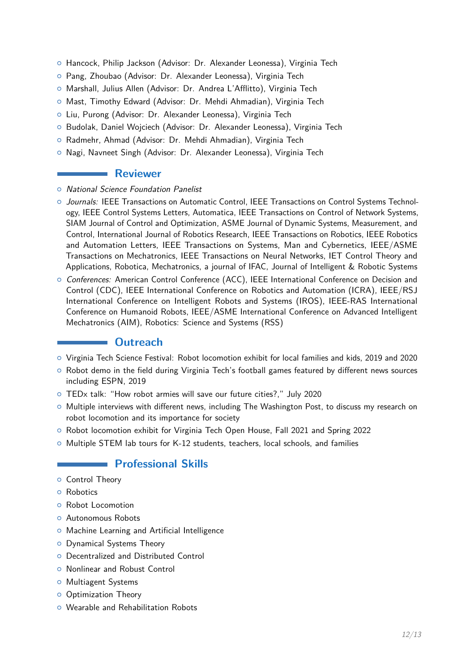- { Hancock, Philip Jackson (Advisor: Dr. Alexander Leonessa), Virginia Tech
- { Pang, Zhoubao (Advisor: Dr. Alexander Leonessa), Virginia Tech
- { Marshall, Julius Allen (Advisor: Dr. Andrea L'Afflitto), Virginia Tech
- { Mast, Timothy Edward (Advisor: Dr. Mehdi Ahmadian), Virginia Tech
- o Liu, Purong (Advisor: Dr. Alexander Leonessa), Virginia Tech
- { Budolak, Daniel Wojciech (Advisor: Dr. Alexander Leonessa), Virginia Tech
- { Radmehr, Ahmad (Advisor: Dr. Mehdi Ahmadian), Virginia Tech
- { Nagi, Navneet Singh (Advisor: Dr. Alexander Leonessa), Virginia Tech

#### **Reviewer**

- **O** National Science Foundation Panelist
- $\circ$  Journals: IEEE Transactions on Automatic Control, IEEE Transactions on Control Systems Technology, IEEE Control Systems Letters, Automatica, IEEE Transactions on Control of Network Systems, SIAM Journal of Control and Optimization, ASME Journal of Dynamic Systems, Measurement, and Control, International Journal of Robotics Research, IEEE Transactions on Robotics, IEEE Robotics and Automation Letters, IEEE Transactions on Systems, Man and Cybernetics, IEEE/ASME Transactions on Mechatronics, IEEE Transactions on Neural Networks, IET Control Theory and Applications, Robotica, Mechatronics, a journal of IFAC, Journal of Intelligent & Robotic Systems
- Conferences: American Control Conference (ACC), IEEE International Conference on Decision and Control (CDC), IEEE International Conference on Robotics and Automation (ICRA), IEEE/RSJ International Conference on Intelligent Robots and Systems (IROS), IEEE-RAS International Conference on Humanoid Robots, IEEE/ASME International Conference on Advanced Intelligent Mechatronics (AIM), Robotics: Science and Systems (RSS)

## **Outreach**

- { Virginia Tech Science Festival: Robot locomotion exhibit for local families and kids, 2019 and 2020
- Robot demo in the field during Virginia Tech's football games featured by different news sources including ESPN, 2019
- { TEDx talk: "How robot armies will save our future cities?," July 2020
- o Multiple interviews with different news, including The Washington Post, to discuss my research on robot locomotion and its importance for society
- { Robot locomotion exhibit for Virginia Tech Open House, Fall 2021 and Spring 2022
- $\circ$  Multiple STEM lab tours for K-12 students, teachers, local schools, and families

### **Professional Skills**

- **O** Control Theory
- o Robotics
- **o** Robot Locomotion
- **o** Autonomous Robots
- <sup>o</sup> Machine Learning and Artificial Intelligence
- **O** Dynamical Systems Theory
- { Decentralized and Distributed Control
- **o** Nonlinear and Robust Control
- o Multiagent Systems
- **O** Optimization Theory
- **o** Wearable and Rehabilitation Robots